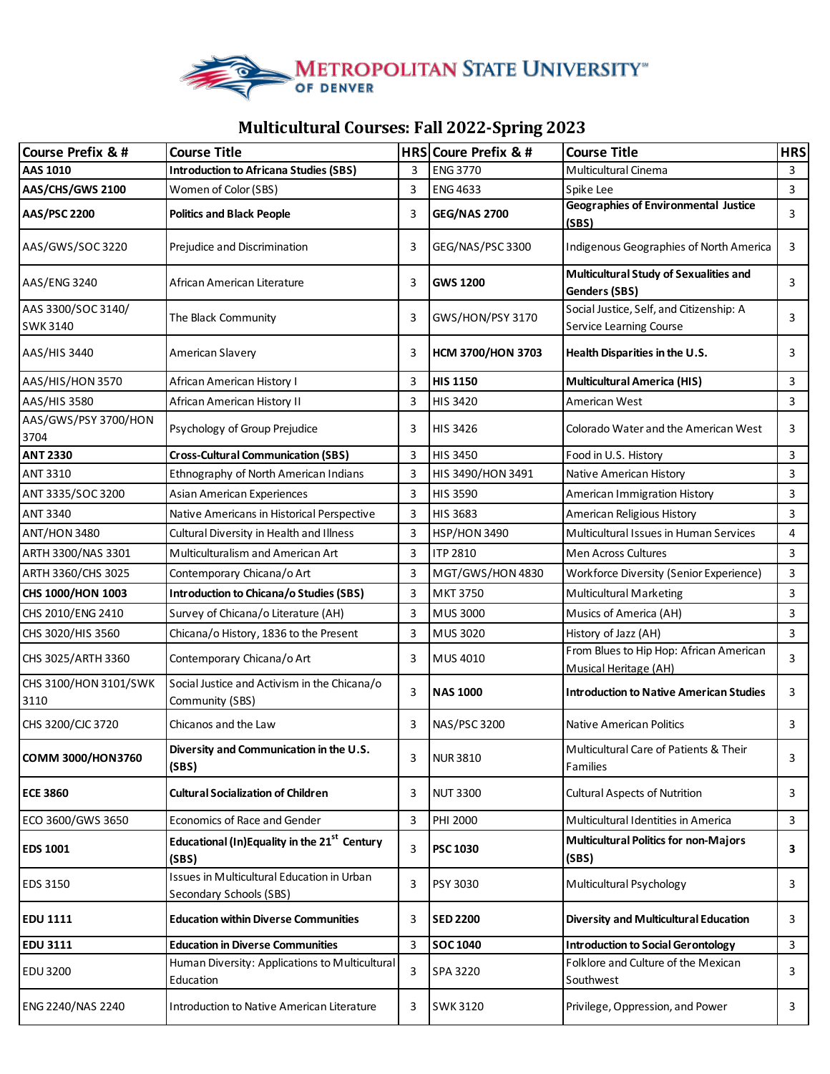

## **Multicultural Courses: Fall 2022-Spring 2023**

| Course Prefix & #              | <b>Course Title</b>                                                   |   | HRS Coure Prefix & #     | <b>Course Title</b>                                                     | <b>HRS</b> |
|--------------------------------|-----------------------------------------------------------------------|---|--------------------------|-------------------------------------------------------------------------|------------|
| AAS 1010                       | <b>Introduction to Africana Studies (SBS)</b>                         | 3 | <b>ENG 3770</b>          | Multicultural Cinema                                                    | 3          |
| AAS/CHS/GWS 2100               | Women of Color (SBS)                                                  | 3 | <b>ENG 4633</b>          | Spike Lee                                                               | 3          |
| <b>AAS/PSC 2200</b>            | <b>Politics and Black People</b>                                      | 3 | <b>GEG/NAS 2700</b>      | <b>Geographies of Environmental Justice</b><br>(SBS)                    | 3          |
| AAS/GWS/SOC3220                | Prejudice and Discrimination                                          | 3 | GEG/NAS/PSC 3300         | Indigenous Geographies of North America                                 | 3          |
| AAS/ENG 3240                   | African American Literature                                           | 3 | <b>GWS 1200</b>          | Multicultural Study of Sexualities and<br>Genders (SBS)                 | 3          |
| AAS 3300/SOC 3140/<br>SWK 3140 | The Black Community                                                   | 3 | GWS/HON/PSY 3170         | Social Justice, Self, and Citizenship: A<br>Service Learning Course     | 3          |
| AAS/HIS 3440                   | American Slavery                                                      | 3 | <b>HCM 3700/HON 3703</b> | Health Disparities in the U.S.                                          | 3          |
| AAS/HIS/HON 3570               | African American History I                                            | 3 | <b>HIS 1150</b>          | <b>Multicultural America (HIS)</b>                                      | 3          |
| AAS/HIS 3580                   | African American History II                                           | 3 | <b>HIS 3420</b>          | American West                                                           | 3          |
| AAS/GWS/PSY 3700/HON<br>3704   | Psychology of Group Prejudice                                         | 3 | <b>HIS 3426</b>          | Colorado Water and the American West                                    | 3          |
| <b>ANT 2330</b>                | <b>Cross-Cultural Communication (SBS)</b>                             | 3 | <b>HIS 3450</b>          | Food in U.S. History                                                    | 3          |
| ANT 3310                       | Ethnography of North American Indians                                 | 3 | HIS 3490/HON 3491        | Native American History                                                 | 3          |
| ANT 3335/SOC 3200              | Asian American Experiences                                            | 3 | <b>HIS 3590</b>          | American Immigration History                                            | 3          |
| <b>ANT 3340</b>                | Native Americans in Historical Perspective                            | 3 | <b>HIS 3683</b>          | American Religious History                                              | 3          |
| <b>ANT/HON 3480</b>            | Cultural Diversity in Health and Illness                              | 3 | <b>HSP/HON 3490</b>      | Multicultural Issues in Human Services                                  | 4          |
| ARTH 3300/NAS 3301             | Multiculturalism and American Art                                     | 3 | ITP 2810                 | Men Across Cultures                                                     | 3          |
| ARTH 3360/CHS 3025             | Contemporary Chicana/o Art                                            | 3 | MGT/GWS/HON 4830         | <b>Workforce Diversity (Senior Experience)</b>                          | 3          |
| CHS 1000/HON 1003              | <b>Introduction to Chicana/o Studies (SBS)</b>                        | 3 | <b>MKT 3750</b>          | <b>Multicultural Marketing</b>                                          | 3          |
| CHS 2010/ENG 2410              | Survey of Chicana/o Literature (AH)                                   | 3 | <b>MUS 3000</b>          | Musics of America (AH)                                                  | 3          |
| CHS 3020/HIS 3560              | Chicana/o History, 1836 to the Present                                | 3 | MUS 3020                 | History of Jazz (AH)                                                    | 3          |
| CHS 3025/ARTH 3360             | Contemporary Chicana/o Art                                            | 3 | MUS 4010                 | From Blues to Hip Hop: African American<br><b>Musical Heritage (AH)</b> | 3          |
| CHS 3100/HON 3101/SWK<br>3110  | Social Justice and Activism in the Chicana/o<br>Community (SBS)       | 3 | <b>NAS 1000</b>          | <b>Introduction to Native American Studies</b>                          | 3          |
| CHS 3200/CJC 3720              | Chicanos and the Law                                                  | 3 | <b>NAS/PSC 3200</b>      | Native American Politics                                                | 3          |
| COMM 3000/HON3760              | Diversity and Communication in the U.S.<br>(SBS)                      | 3 | <b>NUR3810</b>           | Multicultural Care of Patients & Their<br>Families                      | 3          |
| <b>ECE 3860</b>                | <b>Cultural Socialization of Children</b>                             | 3 | <b>NUT 3300</b>          | <b>Cultural Aspects of Nutrition</b>                                    | 3          |
| ECO 3600/GWS 3650              | Economics of Race and Gender                                          | 3 | PHI 2000                 | Multicultural Identities in America                                     | 3          |
| <b>EDS 1001</b>                | Educational (In)Equality in the 21 <sup>st</sup> Century<br>(SBS)     | 3 | <b>PSC 1030</b>          | <b>Multicultural Politics for non-Majors</b><br>(SBS)                   | 3          |
| <b>EDS 3150</b>                | Issues in Multicultural Education in Urban<br>Secondary Schools (SBS) | 3 | PSY 3030                 | Multicultural Psychology                                                | 3          |
| <b>EDU 1111</b>                | <b>Education within Diverse Communities</b>                           | 3 | <b>SED 2200</b>          | <b>Diversity and Multicultural Education</b>                            | 3          |
| <b>EDU 3111</b>                | <b>Education in Diverse Communities</b>                               | 3 | <b>SOC 1040</b>          | <b>Introduction to Social Gerontology</b>                               | 3          |
| EDU 3200                       | Human Diversity: Applications to Multicultural<br>Education           | 3 | <b>SPA 3220</b>          | Folklore and Culture of the Mexican<br>Southwest                        | 3          |
| ENG 2240/NAS 2240              | Introduction to Native American Literature                            | 3 | <b>SWK 3120</b>          | Privilege, Oppression, and Power                                        | 3          |